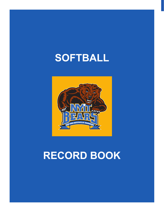# **SOFTBALL**



# **record book**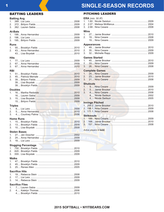### **SINGLE-SEASON RECORDS**

#### **BATTING LEADERS**

|                | <b>Batting Avg.</b>        |  |
|----------------|----------------------------|--|
| 1.             |                            |  |
| 2.             |                            |  |
| 3.             |                            |  |
|                | <b>At-Bats</b>             |  |
| 1.             |                            |  |
| 2.             |                            |  |
| 3.             |                            |  |
| <b>Runs</b>    |                            |  |
| 1.             |                            |  |
| 2.             |                            |  |
|                |                            |  |
|                |                            |  |
| <b>Hits</b>    |                            |  |
| 1 <sub>1</sub> |                            |  |
| 2.             |                            |  |
| 3.             |                            |  |
| <b>RBI</b>     |                            |  |
| 1.             |                            |  |
| 2.             |                            |  |
| 3.             |                            |  |
|                |                            |  |
|                |                            |  |
|                |                            |  |
|                | <b>Doubles</b>             |  |
| 1.             |                            |  |
|                |                            |  |
| 3.             |                            |  |
|                |                            |  |
|                | <b>Triples</b>             |  |
| 1 <sub>1</sub> |                            |  |
| 2.             |                            |  |
| 3.             |                            |  |
|                |                            |  |
|                | <b>Home Runs</b>           |  |
| 1.             |                            |  |
| 2.             |                            |  |
| 3.             |                            |  |
|                | <b>Stolen Bases</b>        |  |
| 1.             |                            |  |
| 2.             |                            |  |
| 3.             |                            |  |
|                |                            |  |
|                | <b>Slugging Percentage</b> |  |
| 1.             |                            |  |
| 2.             |                            |  |
| 3.             |                            |  |
| <b>Walks</b>   |                            |  |
| 1.             |                            |  |
| 2.             |                            |  |
| 3.             |                            |  |
|                |                            |  |
|                | <b>Sacrifice Hits</b>      |  |
| 1.             |                            |  |
| 2.             |                            |  |
| 3.             |                            |  |
|                | <b>Sacrifice Flies</b>     |  |
| 1.             |                            |  |
| 2.             |                            |  |
|                |                            |  |
|                |                            |  |

#### **PITCHING LEADERS**

| <b>ERA</b> (min. 50 IP)<br>1 <sup>1</sup><br>2.<br>3. |  |
|-------------------------------------------------------|--|
| <b>Wins</b><br>1 <sup>1</sup><br>2.                   |  |
| <b>Appearances</b><br>1 <sub>1</sub><br>2.<br>3.      |  |
| <b>Games Started</b><br>1 <sup>1</sup><br>2.<br>3.    |  |
| <b>Complete Games</b><br>3.                           |  |
| <b>Shutouts</b><br>1 <sup>1</sup><br>2.<br>3.         |  |
| <b>Innings Pitched</b><br>3 <sup>1</sup>              |  |
| <b>Strikeouts</b>                                     |  |

| 2. 168 Jamie Brooker |
|----------------------|
|                      |

Active players in bold.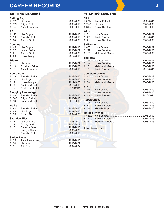## **CAREER RECORDS 2**

#### BATTING LEADERS

#### **Batting Avg.**

| <b>RBI</b> |                    |           |
|------------|--------------------|-----------|
|            | 1 125 Lieg Rouetak | 2007 2010 |

#### **Doubles**

#### **Triples**

#### **Home Runs**

#### **Slugging Percentage**

| <b>Walks</b>           |  |
|------------------------|--|
|                        |  |
|                        |  |
|                        |  |
| <b>Sacrifice Flies</b> |  |
|                        |  |
|                        |  |
|                        |  |
|                        |  |
|                        |  |
| <b>Stolen Bases</b>    |  |
|                        |  |
|                        |  |
|                        |  |
|                        |  |
|                        |  |

#### PITCHING LEADERS

| <b>ERA</b>                                                                                                                                                                                                                                           |  |
|------------------------------------------------------------------------------------------------------------------------------------------------------------------------------------------------------------------------------------------------------|--|
| <b>Wins</b>                                                                                                                                                                                                                                          |  |
| <b>Strikeouts</b>                                                                                                                                                                                                                                    |  |
| <b>Shutouts</b>                                                                                                                                                                                                                                      |  |
| <b>Complete Games</b>                                                                                                                                                                                                                                |  |
| <b>Starts</b>                                                                                                                                                                                                                                        |  |
| <b>Appearances</b><br>Innings Ditchard Company of the Company of the Company of the Company of the Company of the Company of the Company of the Company of the Company of the Company of the Company of the Company of the Company of the Company of |  |

#### **Innings Pitched**

#### *Active players in* **bold**.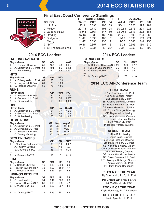### **<sup>3</sup> 2014 ECC statistics**

#### **Final East Coast Conference Standings**

|                  |                       | --------CONFERENCE-------- |            |     | -OVERALL-----------l |               |            |     |            |
|------------------|-----------------------|----------------------------|------------|-----|----------------------|---------------|------------|-----|------------|
| <b>AST COAST</b> | <b>SCHOOL</b>         | W-L-T                      | <b>PCT</b> | РF  | <b>PA</b>            | W-L-T         | <b>PCT</b> | РF  | <b>PAI</b> |
| <b>ONFERENCE</b> | 1. LIU Post           | $25-3$                     | 0.893      | 198 | 83                   | $50-11$       | 0.820      | 395 | 184        |
|                  | 2. Molloy             | $20 - 7 - 1$               | 0.732      | 191 | 94                   | $30 - 22 - 1$ | 0.575      | 291 | 226        |
|                  | 3. Queens (N.Y.)      | $18-9-1$                   | 0.661      | 147 | 69                   | $32 - 20 - 1$ | 0.613      | 272 | 166        |
|                  | 4. Dowling            | $15 - 13$                  | 0.536      | 169 | 146                  | $25 - 25$     | 0.500      | 284 | 268        |
|                  | 5. Bridgeport         | $11 - 17$                  | 0.393      | 103 | -181                 | 19-29         | 0.396      | 189 | 271        |
|                  | Mercy                 | $11 - 17$                  | 0.393      | 135 | -141                 | 19-30         | 0.388      | 248 | 256        |
|                  | 7. NYIT               | 10-18                      | 0.357      | 107 | 161                  | $15 - 23$     | 0.395      | 160 | 210        |
|                  | 8. St. Thomas Aquinas | $1 - 27$                   | 0.036      | 49  | 224                  | $2 - 36$      | 0.053      | 62  | 302        |

| <b>2014 ECC Leaders</b> |                                             |           |            |          |              |  |
|-------------------------|---------------------------------------------|-----------|------------|----------|--------------|--|
|                         | <b>BATTING AVERAGE</b>                      |           |            |          |              |  |
|                         | <b>Player-Team</b>                          | GP        | AВ         | н        | <b>AVG</b>   |  |
| 1.                      | C. Tarango-Dowling                          | 50        | 158        | 78       | 0.494        |  |
| 2.                      | A. Dzierzynski-LIU Post                     | 61        | 194        | 85       | 0.438        |  |
| 3.                      | M. Botte-Molloy                             | 50        | 140        | 59       | 0.421        |  |
| <b>HITS</b>             |                                             |           |            |          |              |  |
|                         | <b>Player-Team</b>                          | GP        | Hits       | H/G      |              |  |
| 1.                      | A. Dzierzynski-LIU Post                     | 61        | 85         | 1.39     |              |  |
| 2.                      | N. Hagenah-LIU Post                         | 61        | 79         | 1.29     |              |  |
| 3.                      | C. Tarango-Dowling                          | 50        | 78         | 1.56     |              |  |
|                         | <b>RUNS</b>                                 |           |            |          |              |  |
|                         | <b>Player-Team</b>                          |           | GP         | Runs     | R/G          |  |
| 1.                      | N. Hagenah-LIU Post                         |           | 61         | 67       | 1.098        |  |
| 2.                      | A. Gonzalez-LIU Post                        |           | 61         | 59       | 0.967        |  |
| 3.                      | N. Sinagra-Molloy                           |           | 53         | 51       | 0.962        |  |
| RBI                     |                                             |           |            |          |              |  |
|                         | <b>Player-Team</b>                          |           | <b>GP</b>  | No.      | <b>RBI/G</b> |  |
| 1                       | A. Dzierzynski-LIU Post                     |           | 61         | 77       | 1.26         |  |
| 2.                      | A. Gonzalez-LIU Post                        |           | 61         | 66       | 1.08<br>1.05 |  |
| 3.                      | D. White- Molloy                            |           | 53         | 56       |              |  |
|                         | <b>HOME RUNS</b>                            |           |            |          |              |  |
|                         | <b>Player-Team</b>                          |           | GP         | No.      | Avg/G        |  |
| 1.                      | A. Dzierzynski-LIU Post                     |           | 61         | 25       | 0.41         |  |
| 2.<br>3.                | A. Gonzalez-LIU Post<br>N. Hagenah-LIU Post |           | 61<br>61   | 18<br>15 | 0.29<br>0.24 |  |
|                         | C. Tarango-Dowling                          |           | 50         | 15       | 0.30         |  |
|                         |                                             |           |            |          |              |  |
|                         | <b>STOLEN BASES</b><br><b>Player-Team</b>   |           | <b>GP</b>  | SB.      | <b>SB/G</b>  |  |
| 1.                      | I Alou Issa-Bridgeport                      |           | 35         | 10       | 0.27         |  |
|                         | A. Fogarty-Dowling                          |           | 50         | 10       | 0.2          |  |
|                         | S. McDonald-STAC                            |           | 38         | 10       | 0.26         |  |
|                         |                                             |           |            |          |              |  |
| 8.                      | A. Butenhoff-NYIT                           |           | 38         | 5        | 0.13         |  |
| ERA                     |                                             |           |            |          |              |  |
|                         | Player-Team                                 | GP        | ERA        | IP       | ER           |  |
| 1                       | M Salcido-LIU Post                          | 19        | 1.89       | 74.0     | 20           |  |
| 2.                      | I Yaroch-Queens (N.Y.)                      | 36        | 1.99       | 165.0    | 47           |  |
| 3.                      | L. Weber-LIU Post                           | 34        | 2.27       | 160.1    | 52           |  |
| <b>INNINGS PITCHED</b>  |                                             |           |            |          |              |  |
|                         | Player-Team                                 | <b>GP</b> | <b>ERA</b> | IP       | ER           |  |
| 1.                      | C. Hawks-Molloy                             | 34        | 3.49       | 166.2    | 83           |  |
| 2.                      | I Yaroch-Queens (N.Y.)                      | 36        | 1.99       | 165      | 47           |  |
| 3.                      | L. Weber-LIU Post                           | 34        | 2.27       | 160.1    | 52           |  |
| $\overline{a}$          |                                             |           |            |          |              |  |
| 9.                      | M. Ormsby-NYIT                              | 19        | 4.35       | 111      | 69           |  |

### **2014 ECC Leaders**

#### **Strikeouts**

| Player-Team                  | GP | No. | SO/G |
|------------------------------|----|-----|------|
| 1. M Roberge-Queens (N.Y.)29 |    | 179 | 6.17 |
| 2. I Yaroch-Queens (N.Y.)    | 36 | 154 | 4.27 |
| 3. C Hawks-Molloy            | 34 | 125 | 3.67 |
| 7. M. Ormsby-NYIT            | 19 | 78  | 4.10 |

### **2014 ECC All-Conference Team**

#### **First Team**

C: Aly Dzierzynski, LIU Post 1B: Kelly Bentson, Mercy 2B: Brenda Lee, Molloy 3B: Arianna LaPuma, Dowling SS: Nicole Hagenah, LIU Post OF: Alexis Gonzalez, LIU Post OF: Crystal Tarango, Dowling OF: Dayna White, Molloy DP: Kayla Morrissey, Queens UTL: Tracey Balinskas, Molloy P: Liz Weber, LIU Post P: Isabelle Yaroch, Queens

#### **Second Team**

C:Milan Botte, Molloy 1B: Jamie Laird, Dowling 2B: Erica Fischetti, Dowling 3B: Maria Palmeri, LIU Post SS: Nicolette Sinagra, Molloy OF: Catherine Havens, LIU Post OF:Nicole Pirretti, Queens OF:Natalie Wabshinak, Mercy DP: Paige Swantek, LIU Post UTL: Monique Roberge, Queens P: Ashley Martin, LIU Post P: Tiffany Irrera, Bridgeport

**Player of the Year** Aly Dzierzynski, Jr., C, LIU Post

**PItcher of the Year** Liz Weber, Sr., LIU Post

**Rookie of the Year** Kayla Morrissey, Fr., DP, Queens

**Coach of the Year** Jamie Apicella, LIU Post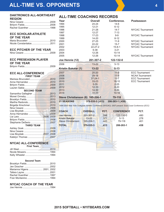| DAKTRONICS ALL-NORTHEAST                                                |  |
|-------------------------------------------------------------------------|--|
| <b>REGION</b>                                                           |  |
| <b>ECC SCHOLAR-ATHLETE</b>                                              |  |
| <b>OF THE YEAR</b><br>Maria Brucceleri 2010<br>Nicole Constantatos 2011 |  |
| <b>ECC PITCHER OF THE YEAR</b>                                          |  |
| <b>ECC PRESEASON PLAYER</b><br><b>OF THE YEAR</b>                       |  |
|                                                                         |  |
| <b>ECC ALL-CONFERENCE</b>                                               |  |
| <b>FIRST TEAM</b>                                                       |  |
|                                                                         |  |
|                                                                         |  |
|                                                                         |  |
|                                                                         |  |
| <b>SECOND TEAM</b>                                                      |  |
| Samantha Gallagher 2013                                                 |  |
|                                                                         |  |
|                                                                         |  |
|                                                                         |  |
| Brigette Kirschmer2010                                                  |  |
|                                                                         |  |
|                                                                         |  |
|                                                                         |  |
|                                                                         |  |
|                                                                         |  |
|                                                                         |  |
| <b>THIRD TEAM</b>                                                       |  |
|                                                                         |  |
|                                                                         |  |
| Lisa Boystak 2007, 2008                                                 |  |
|                                                                         |  |

#### **NYCAC All-Conference**

| <b>First Team</b> |  |
|-------------------|--|
|                   |  |
|                   |  |
|                   |  |

#### **Second Team**

| Marianna Higens  2001, 2002 |  |
|-----------------------------|--|
|                             |  |
|                             |  |
|                             |  |

#### **NYCAC Coach of the Year**

|--|--|--|--|

### **All-Time Coaching Records**

| Year                          | <b>Overall</b>   | Conference.      | <b>Postseason</b>       |
|-------------------------------|------------------|------------------|-------------------------|
| 1994                          | 24-24            | $14-6$           |                         |
| 1995                          | $12 - 21$        | $6 - 12$         |                         |
| 1996                          | $21 - 28$        | $14 - 7$         | NYCAC Tournament        |
| 1997                          | $12 - 27$        | $7 - 13$         |                         |
| 1998                          | $17 - 23$        | $9-9$            | <b>NYCAC Tournament</b> |
| 1999                          | 14-20            | $8 - 12$         |                         |
| 2000                          | $27 - 25$        | $11 - 9$         | NYCAC Tournament        |
| 2001                          | $22 - 22$        | $15 - 7$         | <b>NYCAC Tournament</b> |
| 2002                          | $22 - 27 - 2$    | $15 - 8 - 1$     | <b>NYCAC Tournament</b> |
| 2003                          | $6 - 38$         | $3 - 21$         |                         |
| 2004                          | 12-26            | $10 - 14$        |                         |
| 2005                          | 12-26            | $10 - 14$        | <b>NYCAC Tournament</b> |
| Joe Hennie (12)               | 201-307-2        | 122-132-0        |                         |
| 2006                          | $13 - 22$        | $5 - 13$         |                         |
| Kristin Bakalar (1)           | $13 - 22$        | $5 - 13$         |                         |
| 2007                          | $20 - 20$        | $11 - 9$         | <b>ECC Tournament</b>   |
| 2008                          | $29 - 18$        | $11 - 9$         | <b>NCAA Tournament</b>  |
| 2009                          | $37 - 24 - 1$    | $11 - 7$         | <b>ECC Tournament</b>   |
| 2010                          | $33 - 23$        | $18 - 10$        | <b>ECC Tournament</b>   |
| 2011                          | $5 - 35$         | $2 - 25$         |                         |
| 2012                          | $12 - 33$        | $8 - 20$         |                         |
| 2013                          | 14-30            | $8 - 20$         |                         |
| 2014                          | $15 - 23$        | $10 - 18$        |                         |
| <b>Steve Christianson (8)</b> | 165-206-1        | 79-118           |                         |
| <b>21 SEASONS</b>             | 379-535-3 (.413) | 206-263-1 (.438) |                         |

*1994-2005 New York Collegiate Athletic Conference (NYCAC); 2007-present: East Coast Conference (ECC)*

| <b>COACH</b>              | <b>OVERALL</b> | PCT. | <b>CONFERENCE</b> | PCT. |
|---------------------------|----------------|------|-------------------|------|
| <b>Joe Hennie</b>         | 201-307-2      | 396  | $122 - 132 - 0$   | .480 |
| <b>Kristin Bakalar</b>    | $13 - 22$      | .371 | $5-13$            | .278 |
| <b>Steve Christianson</b> | 165-206-1      | 443  | 79-118            | .401 |
| <b>TOTAL</b>              | 379-535-3      | .413 | 206-263-1         | .438 |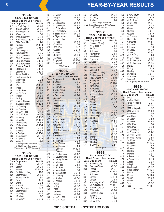| 1994<br>24-24 · 14-6 NYCAC |                                                               |                       |              | •at N<br>•Ade  |
|----------------------------|---------------------------------------------------------------|-----------------------|--------------|----------------|
|                            | <b>Head Coach: Joe Hennie</b>                                 |                       | 4/7<br>4/7   | •Ade           |
|                            | <b>Date Opponent</b>                                          | <b>Result</b>         | 4/10         | •at (          |
| 3/17                       | at S.W. Baptist                                               | W, 2-1                | 4/10         | •at C          |
| 3/17                       | at S.W. Baptist                                               | W, 2-0                | 4/11         | •at F          |
| 3/18                       | Pittsburgh St. ^                                              | W, 6-0                | 4/11         | •at F          |
| 3/18                       | Washburn ^                                                    | $L, 5-1$              | 4/13         | at S           |
| 3/18                       | Wisc.-Superior ^                                              | $L, 5-1$              | 4/13<br>4/15 | at S<br>at F   |
| 3/19                       | N.W. Missouri St. ^                                           | W, 6-3                | 4/17         | •at F          |
| 3/19                       | Okla. Cent. Uni. ^                                            | $L, 7-1$<br>W, 15-4   | 4/18         | •C. \          |
| 3/22<br>3/22               | •Queens<br>•Queens                                            | L, 13-6               | 4/18         | $\cdot$ C.V    |
| 3/23                       | •Southampton                                                  | $L, 3-2$              | 4/20         | •Que           |
| 3/23                       | •Southampton                                                  | $L, 7-5$              | 4/20         | ·Que           |
| 3/28                       | CSU Dominquez                                                 | L, 10-0               | 4/22         | ∙St.           |
| 3/29                       | <b>CSU Dominquez</b>                                          | W, 2-0                | 4/22         | $\cdot$ St.    |
| 3/29                       | <b>CSU Bakersfield</b>                                        | $L, 10-0$             | 4/27         | <b>Brid</b>    |
| 3/29                       | <b>CSU Bakersfield</b>                                        | L, 10-0               | 4/27         | <b>Brid</b>    |
| 3/31                       | Sonoma State #                                                | L, 13-1               |              |                |
| 3/31                       | UC Davis #                                                    | L, 19-1               |              |                |
| 4/1<br>4/1                 | Cal Poly #<br>Azuza Pacific #                                 | $L, 12-1$<br>$L, 3-2$ |              | $21 - 2$       |
| 4/1                        | Gustavius Adol. #                                             | $L, 9-1$              |              | Head (         |
| 4/7                        | Millersville                                                  | $L, 9-4$              | Date Op      |                |
| 4/7                        | Millersville                                                  | $L, 2-0$              | 2/29         | at La          |
| 4/8                        | •Pace                                                         | W, 10-0               | 2/29         | at La          |
| 4/8                        | ·Pace                                                         | W, 11-1               | 3/1          | at U           |
| 4/9                        | •at St. Rose                                                  | $L, 3-2$              | 3/1          | at U           |
| 4/9                        | •at St. Rose                                                  | W, 7-5                | 3/2          | at P           |
| 4/15                       | •Molloy                                                       | W, 8-1                | 3/2<br>3/8   | at P<br>Que    |
| 4/15                       | •Molloy                                                       | W, 11-4               | 3/9          | Colu           |
| 4/17<br>4/17               | at West Chester<br>at West Chester                            | W, 7-6<br>W, 12-3     | 3/10         | Linc           |
| 4/18                       | •at Dowling                                                   | W, 5-4                | 3/17         | •Phi           |
| 4/18                       | •at Dowling                                                   | $L, 6-2$              | 3/17         | •Phi           |
| 4/20                       | •at C.W. Post                                                 | $L, 4-1$              | 3/23         | $\cdot$ Cor    |
| 4/20                       | •at C.W. Post                                                 | W, 5-3                | 3/23         | •Cor           |
| 4/23                       | •at Mercy                                                     | W, 13-2               | 3/25         | at D           |
| 4/23                       | •at Mercy                                                     | W, 11-1               | 3/27         | at N           |
| 4/24                       | •Philadelphia                                                 | W, 8-3                | 3/27<br>3/29 | at N<br>Han    |
| 4/24                       | ·Philadelphia                                                 | W, 16-4               | 3/29         | UC I           |
| 4/27<br>4/27               | at Marist                                                     | $L, 3-1$              | 3/29         | CSL            |
| 4/28                       | at Marist<br>at Bridgeport                                    | W, 6-3<br>W, 10-1     | 3/30         | Chic           |
| 4/28                       | at Bridgeport                                                 | W, 9-2                | 3/30         | Star           |
| 4/30                       | at Queens!                                                    | L, 10-8               | 4/2          | at R           |
| 4/30                       | Molloy!                                                       | $L, 2-1$              | 4/2          | at R           |
|                            | ^ Pittsburgh State Tournament;                                |                       | 4/4          | at S           |
|                            | # CSU-Hayward Tournament;<br>• NYCAC game; ! NYCAC Tournament |                       | 4/4          | at S           |
|                            |                                                               |                       | 4/11         | •at C          |
|                            | 1995                                                          |                       | 4/11<br>4/12 | •at (<br>•at S |
|                            | 12-21 · 6-12 NYCAC                                            |                       | 4/12         | •at S          |
|                            | <b>Head Coach: Joe Hennie</b>                                 |                       | 4/13         | at G           |
|                            | Date Opponent                                                 | <b>Result</b>         | 4/13         | at K           |
| 3/16                       | <b>Bentley</b>                                                | W, 3-2                | 4/18         | •at S          |
| 3/16                       | <b>Bentley</b>                                                | W, 2-1                | 4/18         | •at S          |
| 3/23                       | Mercey                                                        | W, 15-14              | 4/19         | at K           |
| 3/26                       | East Stroudsburg                                              | L, 11-0<br>W, 6-2     | 4/19         | at K           |
| 3/26<br>3/27               | Southampton<br>Jacksonville St                                | $L, 8-0$              | 4/21         | •at D          |
| 3/27                       | Drexel                                                        | L, 4-11               | 4/23         | •at A          |
| 3/29                       | <b>Brown</b>                                                  | $L, 3-4$              | 4/23         | •at A          |
| 3/29                       | Harvard                                                       | $L, 3-5$              | 4/24<br>4/24 | •Mol<br>•Mol   |
| 3/30                       | lowa Wesleyan                                                 | $L, 2-10$             | 4/26         | •Pac           |
| 3/30                       | Southampton                                                   | $L, 2-6$              | 4/27         | LeM            |
| 4/4                        | •Dowling                                                      | L, 4-11               | 4/27         | LeM            |
| 4/4                        | •Dowling                                                      | $L, 1-2$              | 4/28         | •at (          |
| 4/6                        | •at Molloy                                                    | L, 5-19               | 4/28         | •at (          |

| 4/6<br>4/7<br>4/7<br>4/10<br>4/10<br>4/11<br>4/11<br>4/13<br>4/13<br>4/15<br>4/17<br>4/18<br>4/18<br>4/20<br>4/20<br>4/22<br>4/22<br>4/27<br>4/27 | •at Molloy<br>•Adelphi<br>•Adelphi<br>•at Concordia<br>•at Concordia<br>•at Philadelphia<br>•at Philadelphia<br>at Sigina Valley<br>at Sigina Valley<br>at Ferria State<br>•at Pace<br>•CW Post<br>•C.W. Post<br>•Queens<br>•Queens<br>·St. Rose<br>·St. Rose<br>Bridgeport<br>Bridgeport<br>· NYCAC game | L, 3-9<br>W, 3-1<br>L, 6-7<br>W, 4-2<br>W, 6-3<br>L, 2-7<br>$L, 5-18$<br>W, 9-4<br>L, 2-9<br>$L, 5-12$<br>W, 7-3<br>$L, 5-9$<br>$L, 5-12$<br>L, 2-13<br>$L, 0-1$<br>W, 7-6<br>L, 2/17<br>$W, 13-0$<br>W, 12-2 |
|---------------------------------------------------------------------------------------------------------------------------------------------------|-----------------------------------------------------------------------------------------------------------------------------------------------------------------------------------------------------------------------------------------------------------------------------------------------------------|---------------------------------------------------------------------------------------------------------------------------------------------------------------------------------------------------------------|
|                                                                                                                                                   | 1996                                                                                                                                                                                                                                                                                                      |                                                                                                                                                                                                               |
|                                                                                                                                                   | 21-28 · 14-7 NYCAC<br><b>Head Coach: Joe Hennie</b>                                                                                                                                                                                                                                                       |                                                                                                                                                                                                               |
| <b>Date</b>                                                                                                                                       | Opponent                                                                                                                                                                                                                                                                                                  | <b>Result</b>                                                                                                                                                                                                 |
| 2/29                                                                                                                                              | at Lander                                                                                                                                                                                                                                                                                                 | $L, 5-6$                                                                                                                                                                                                      |
| 2/29<br>3/1                                                                                                                                       | at Lander<br>at USC-Aiken                                                                                                                                                                                                                                                                                 | L, 1-7<br>L, 2-6                                                                                                                                                                                              |
| 3/1                                                                                                                                               | at USC-Aiken                                                                                                                                                                                                                                                                                              | $L, 7-8$                                                                                                                                                                                                      |
| 3/2                                                                                                                                               | at Pembroke                                                                                                                                                                                                                                                                                               | W, 7-3<br>W, 7-6                                                                                                                                                                                              |
| 3/2<br>3/8                                                                                                                                        | at Pembroke<br>Queens <sup>^</sup>                                                                                                                                                                                                                                                                        | $L, 2-6$                                                                                                                                                                                                      |
| 3/9                                                                                                                                               | Columbus <sup>^</sup>                                                                                                                                                                                                                                                                                     | $L, 2-10$                                                                                                                                                                                                     |
| 3/10                                                                                                                                              | Lincoln <sup>^</sup>                                                                                                                                                                                                                                                                                      | $L, 4-5$                                                                                                                                                                                                      |
| 3/17<br>3/17                                                                                                                                      | ·Philadelphia<br>·Philadelphia                                                                                                                                                                                                                                                                            | W, 8-0                                                                                                                                                                                                        |
| 3/23                                                                                                                                              | •Concordia                                                                                                                                                                                                                                                                                                | W, 9-1<br>W, 18-1                                                                                                                                                                                             |
| 3/23                                                                                                                                              | •Concordia                                                                                                                                                                                                                                                                                                | W, 12-11                                                                                                                                                                                                      |
| 3/25<br>3/27                                                                                                                                      | at Dowling<br>at New Haven                                                                                                                                                                                                                                                                                | $\frac{1}{12}$ , 12-16                                                                                                                                                                                        |
| 3/27                                                                                                                                              | at New Haven                                                                                                                                                                                                                                                                                              | $L, 2-5$                                                                                                                                                                                                      |
| 3/29                                                                                                                                              | Harvard #                                                                                                                                                                                                                                                                                                 | L, 1-17                                                                                                                                                                                                       |
| 3/29<br>3/29                                                                                                                                      | UC Davis #<br>CSU Bakersfield #                                                                                                                                                                                                                                                                           | $L, 0-7$<br>$L, 0-6$                                                                                                                                                                                          |
| 3/30                                                                                                                                              | Chico #                                                                                                                                                                                                                                                                                                   | $L, 6-10$                                                                                                                                                                                                     |
| 3/30                                                                                                                                              | Stanislaus #                                                                                                                                                                                                                                                                                              | $L, 5-9$                                                                                                                                                                                                      |
| 4/2<br>4/2                                                                                                                                        | at Riverside<br>at Riverside                                                                                                                                                                                                                                                                              | $L, 1-8$<br>L, 0-8                                                                                                                                                                                            |
| 4/4                                                                                                                                               | at San Bernadino                                                                                                                                                                                                                                                                                          | $L, 1-4$                                                                                                                                                                                                      |
| 4/4                                                                                                                                               | at San Bernadino                                                                                                                                                                                                                                                                                          | L, 1-9                                                                                                                                                                                                        |
| 4/11<br>4/11                                                                                                                                      | •at Queens<br>•at Queens                                                                                                                                                                                                                                                                                  | W, 10-4<br>$L, 4-8$                                                                                                                                                                                           |
| 4/12                                                                                                                                              | •at Southampton                                                                                                                                                                                                                                                                                           | W, 4-2                                                                                                                                                                                                        |
| 4/12                                                                                                                                              | •at Southampton                                                                                                                                                                                                                                                                                           | W, 8-4                                                                                                                                                                                                        |
| 4/13<br>4/13                                                                                                                                      | at Goldey Beacom                                                                                                                                                                                                                                                                                          | W, 5-1<br>L, 2-3                                                                                                                                                                                              |
| 4/18                                                                                                                                              | at Kutztown<br>•at St. Rose                                                                                                                                                                                                                                                                               | L, 1-4                                                                                                                                                                                                        |
| 4/18                                                                                                                                              | •at St. Rose                                                                                                                                                                                                                                                                                              | L, 2-3                                                                                                                                                                                                        |
| 4/19                                                                                                                                              | at Keene State                                                                                                                                                                                                                                                                                            | $L, 0-3$                                                                                                                                                                                                      |
| 4/19<br>4/21                                                                                                                                      | at Keene State<br>•at Dowling                                                                                                                                                                                                                                                                             | L, 5-10<br>W, 12-9                                                                                                                                                                                            |
| 4/23                                                                                                                                              | •at Adelphi                                                                                                                                                                                                                                                                                               | W, 5-1                                                                                                                                                                                                        |
| 4/23                                                                                                                                              | •at Adelphi                                                                                                                                                                                                                                                                                               | $L, 3-14$                                                                                                                                                                                                     |
| 4/24                                                                                                                                              | •Molloy                                                                                                                                                                                                                                                                                                   | W, 4-3                                                                                                                                                                                                        |
| 4/24<br>4/26                                                                                                                                      | •Molloy<br>•Pace                                                                                                                                                                                                                                                                                          | W, 8-7<br>W, 8-7                                                                                                                                                                                              |
| 4/27                                                                                                                                              | LeMoyne                                                                                                                                                                                                                                                                                                   | W, 6-5                                                                                                                                                                                                        |
| 4/27                                                                                                                                              | LeMoyne                                                                                                                                                                                                                                                                                                   | W, 7-6                                                                                                                                                                                                        |
| 4/28<br>4/28                                                                                                                                      | •at C.W. Post<br>at C.W. Post                                                                                                                                                                                                                                                                             | $L, 3-10$<br>L, 3-11                                                                                                                                                                                          |
|                                                                                                                                                   |                                                                                                                                                                                                                                                                                                           |                                                                                                                                                                                                               |

| 5/2<br>5/2<br>5/4                                                                            | •at Mercy<br>•at Mercy<br>Adelphi! | W, 9-1<br>W, 8-2<br>L, 1-3 | 3/2<br>3/2<br>3/2<br>3/2 |
|----------------------------------------------------------------------------------------------|------------------------------------|----------------------------|--------------------------|
| ^ Queens College Tournament;<br># UC Hayward Tournament; • NYCAC game; !<br>NYCAC Tournament |                                    |                            |                          |
|                                                                                              | 1997<br>12-27 • 7-13 NYCAC         |                            | 3/2<br>3/3<br>3/3        |
|                                                                                              | <b>Head Coach: Joe Hennie</b>      |                            | 4/1<br>4/3               |
|                                                                                              | <b>Date Opponent</b>               | <b>Result</b>              | 4/3                      |
| 3/1<br>3/1                                                                                   | Concord (W.Va) ^<br>W. Virginia ^  | L, 0-4<br>L, 1-4           | 4/4                      |
| 3/2                                                                                          | Fieffer <sup>^</sup>               | $L, 1-2$                   | 4/4                      |
| 3/2                                                                                          | Kutztown ^                         | L, 2-5                     | 4/1<br>4/1               |
| 3/19                                                                                         | New Haven                          | $L, 1-4$<br>$L, 1-10$      | 4/1                      |
| 3/19<br>3/24                                                                                 | New Haven<br>Erskine #             | W, 7-5                     | 4/1                      |
| 3/24                                                                                         | Dulluth #                          | L, 9-0                     | 4/2                      |
| 3/25                                                                                         | Mankato #                          | $L, 4-9$                   | 4/2<br>4/2               |
| 3/25                                                                                         | Merrimack #                        | $W, 5-2$                   | 4/2                      |
| 3/27<br>3/27                                                                                 | Mankato #<br>Augustana (S.D.) #    | $L, 0-8$<br>$L, 0-9$       | 4/2                      |
| 3/28                                                                                         | Southampton #                      | W, 3-2                     | 4/2<br>4/2               |
| 3/28                                                                                         | Neb.-Omaha #                       | L, 1-20                    | 5/1                      |
| 4/4<br>4/4                                                                                   | <b>Bridgeport</b>                  | W, 7-3                     |                          |
| 4/5                                                                                          | <b>Bridgeport</b><br>.C.W. Post    | W, 11-0<br>$L, 0-12$       |                          |
| 4/5                                                                                          | .C.W. Post                         | $L, 1-3$                   |                          |
| 4/8                                                                                          | •at Philadelphia                   | $L, 9-16$                  |                          |
| 4/8                                                                                          | •at Philadelphia                   | W, 7-6                     | Da                       |
| 4/10<br>4/10                                                                                 | ·Adelphi<br>•Adelphi               | $L, 6-8$<br>W, 8-7         | 3/1                      |
| 4/14                                                                                         | Albany                             | $L, 5-9$                   | 3/1<br>3/1               |
| 4/14                                                                                         | Albany                             | $L, 5-11$                  | 3/1                      |
| 4/17<br>4/17                                                                                 | •Queens<br>·Queens                 | L, 0-7                     | 3/1                      |
| 4/19                                                                                         | •Southampton                       | $L, 2-5$<br>W, 6-0         | 3/1                      |
| 4/19                                                                                         | •Southampton                       | W, 3-1                     | 3/2<br>3/2               |
| 4/20                                                                                         | ·St. Rose                          | $L, 2-12$                  | 3/2                      |
| 4/20<br>4/23                                                                                 | •St. Rose<br>•at Pace              | W, 5-4<br>L, 6-7           | 3/2                      |
| 4/23                                                                                         | at Pace                            | $L, 2-6$                   | 4/3<br>4/3               |
| 4/24                                                                                         | •at Molloy                         | $L, 4-14$                  | 4/7                      |
| 4/24                                                                                         | <b>at Molloy</b>                   | $L, 0-10$                  | 4/7                      |
| 4/26<br>4/26                                                                                 | •Mercy<br>•Mercy                   | W, 3-2<br>W, 4-2           | 4/1                      |
| 4/30                                                                                         | •Dowling                           | $L, 1-8$                   | 4/1<br>4/1               |
| 4/30                                                                                         | •Dowling                           | $L, 8-20$                  | 4/1                      |
| 5/1                                                                                          | at UMASS                           | $L, 5-7$                   | 4/1                      |
|                                                                                              | · NYCAC game                       |                            | 4/1                      |
|                                                                                              | 1998<br>17-23 · 9-9 NYCAC          |                            | 4/1<br>4/1               |
|                                                                                              | <b>Head Coach: Joe Hennie</b>      |                            | 4/1<br>4/1               |
|                                                                                              | Date Opponent                      | <b>Result</b>              | 4/1                      |
| 2/28                                                                                         | Shippensburg<br>Gardner-Webb       | $L$ , 1-9                  | 4/1                      |
| 2/28<br>2/28                                                                                 | Pfieffer                           | W, 8-2<br>W, 6-1           | 4/2                      |
| 3/1                                                                                          | Concordia                          | W, 14-4                    | 4/2<br>4/2               |
| 3/1                                                                                          | Kutztown                           | L, 1-6                     | 4/2                      |
| 3/6<br>3/6                                                                                   | Lander                             | $L, 2-10$                  | 4/2                      |
| 3/7                                                                                          | Lander<br>atSt. Augustine's        | $L, 1-5$                   | 4/2                      |
| 3/7                                                                                          | St. Augustine's                    | W, 14-0<br>W, 14-1         | 4/2<br>4/2               |
| 3/20                                                                                         | Western Oregon                     | L, 1-6                     |                          |
| 3/20                                                                                         | Willamette                         | W, 7-0                     |                          |
| 3/20<br>3/21                                                                                 | <b>Humboldt State</b><br>Sonoma    | $L, 0-10$<br>L, 2-7        |                          |
| 3/21                                                                                         | <b>UC Riverside</b>                | $L, 1-4$                   |                          |
| 3/21                                                                                         | St. Martin's                       | $L, 0-3$                   |                          |

| 3/26<br>3/26<br>3/28<br>3/28<br>3/29<br>3/29<br>3/30<br>3/30<br>4/1<br>4/3<br>4/3<br>4/4<br>4/4<br>4/14<br>4/14<br>4/16<br>4/16<br>4/21<br>4/21<br>4/25<br>4/25<br>4/28<br>4/29<br>4/29<br>5/1 | at New Haven<br>at New Haven<br>•at St. Rose<br>•at St. Rose<br>Albany<br>Albany<br>•Queens<br>•Queens<br>•at Dowling<br>•Concordia<br>•Concordia<br>Kutztown<br>Kutztown<br>•at Mercy<br>•at Mercy<br>•at C.W. Post<br>•at C.W. Post<br>•at Southampton<br>•at Southampton<br>•Molloy<br>•Molloy<br>•Dowling<br>•at Adelphi<br>•at Adelphi<br>Queens !<br>· NYCAC game; ! NYCAC playoffs | W, 2-0<br>$L, 2-10$<br>W, 5-1<br>W, 8-1<br>$I, 0-2$<br>W, 5-2<br>$L, 0-11$<br>$L, 3-10$<br>L, 1-5<br>W, 11-1<br>W, 6-1<br>L, 1-4<br>$L, 2-6$<br>W, 9-0<br>W, 8-1<br>$L, 1-6$<br>$L, 2-5$<br>W, 5-2<br>W, 9-4<br>W, 6-5<br>$L, 2-10$<br>L, 0-5<br>$L, 5-14$<br>L, 5-8<br>L, 1-7 |
|------------------------------------------------------------------------------------------------------------------------------------------------------------------------------------------------|-------------------------------------------------------------------------------------------------------------------------------------------------------------------------------------------------------------------------------------------------------------------------------------------------------------------------------------------------------------------------------------------|--------------------------------------------------------------------------------------------------------------------------------------------------------------------------------------------------------------------------------------------------------------------------------|
|                                                                                                                                                                                                | 1999                                                                                                                                                                                                                                                                                                                                                                                      |                                                                                                                                                                                                                                                                                |
|                                                                                                                                                                                                | 14-20 · 8-12 NYCAC                                                                                                                                                                                                                                                                                                                                                                        |                                                                                                                                                                                                                                                                                |
|                                                                                                                                                                                                | <b>Head Coach: Joe Hennie</b><br><b>Date Opponent</b>                                                                                                                                                                                                                                                                                                                                     | <b>Result</b>                                                                                                                                                                                                                                                                  |
| 3/18                                                                                                                                                                                           | Grace                                                                                                                                                                                                                                                                                                                                                                                     | W, 7-2                                                                                                                                                                                                                                                                         |
| 3/18                                                                                                                                                                                           | at West Florida                                                                                                                                                                                                                                                                                                                                                                           | L, 3-4                                                                                                                                                                                                                                                                         |
| 3/19                                                                                                                                                                                           | <b>Texas Woman's</b>                                                                                                                                                                                                                                                                                                                                                                      | L, 0-4                                                                                                                                                                                                                                                                         |
| 3/19                                                                                                                                                                                           | Lincoln Univ.                                                                                                                                                                                                                                                                                                                                                                             | W, 6-2                                                                                                                                                                                                                                                                         |
| 3/19<br>3/19                                                                                                                                                                                   | TAMU-Kingsville<br>Dana College                                                                                                                                                                                                                                                                                                                                                           | $L, 0-7$<br>W, 4-3                                                                                                                                                                                                                                                             |
| 3/23                                                                                                                                                                                           | New Haven                                                                                                                                                                                                                                                                                                                                                                                 | L, 5-6                                                                                                                                                                                                                                                                         |
| 3/23                                                                                                                                                                                           | New Haven                                                                                                                                                                                                                                                                                                                                                                                 | $L, 0-1$                                                                                                                                                                                                                                                                       |
| 3/27                                                                                                                                                                                           | •at Molloy                                                                                                                                                                                                                                                                                                                                                                                | L, 1-2                                                                                                                                                                                                                                                                         |
| 3/27                                                                                                                                                                                           | •at Molloy                                                                                                                                                                                                                                                                                                                                                                                | W, 4-2                                                                                                                                                                                                                                                                         |
| 4/3                                                                                                                                                                                            | •C.W. Post                                                                                                                                                                                                                                                                                                                                                                                | L, 0-8                                                                                                                                                                                                                                                                         |
| 4/3                                                                                                                                                                                            | •C.W. Post                                                                                                                                                                                                                                                                                                                                                                                | L, 0-8                                                                                                                                                                                                                                                                         |
| 4/7                                                                                                                                                                                            | •at Concordia                                                                                                                                                                                                                                                                                                                                                                             | W, 2-1                                                                                                                                                                                                                                                                         |
| 4/7                                                                                                                                                                                            | •at Concordia                                                                                                                                                                                                                                                                                                                                                                             | W, 4-2                                                                                                                                                                                                                                                                         |
| 4/10                                                                                                                                                                                           | ·at Phila. Textile                                                                                                                                                                                                                                                                                                                                                                        | , –<br>L, 1-4                                                                                                                                                                                                                                                                  |
| 4/10<br>4/11                                                                                                                                                                                   | •at Phila. Textile<br>·St. Rose                                                                                                                                                                                                                                                                                                                                                           | $L, 5-6$<br>W, 6-4                                                                                                                                                                                                                                                             |
| 4/11                                                                                                                                                                                           | •St. Rose                                                                                                                                                                                                                                                                                                                                                                                 | W, 12-5                                                                                                                                                                                                                                                                        |
| 4/13                                                                                                                                                                                           | •at Queens                                                                                                                                                                                                                                                                                                                                                                                | L, 6-9                                                                                                                                                                                                                                                                         |
| 4/13                                                                                                                                                                                           | •Queens                                                                                                                                                                                                                                                                                                                                                                                   | L, 5-8                                                                                                                                                                                                                                                                         |
| 4/14                                                                                                                                                                                           | •Dowling                                                                                                                                                                                                                                                                                                                                                                                  | $L, 0-2$                                                                                                                                                                                                                                                                       |
| 4/14                                                                                                                                                                                           | •Dowling                                                                                                                                                                                                                                                                                                                                                                                  | $L, 2-4$                                                                                                                                                                                                                                                                       |
| 4/16                                                                                                                                                                                           | at Assumption                                                                                                                                                                                                                                                                                                                                                                             | $L, 0-9$                                                                                                                                                                                                                                                                       |
| 4/16                                                                                                                                                                                           | at Assumption                                                                                                                                                                                                                                                                                                                                                                             | $L,2-8$                                                                                                                                                                                                                                                                        |
| 4/18                                                                                                                                                                                           | •Adelphi                                                                                                                                                                                                                                                                                                                                                                                  | L, 2-3                                                                                                                                                                                                                                                                         |
| 4/18                                                                                                                                                                                           | •Adelphi                                                                                                                                                                                                                                                                                                                                                                                  | L, 3-9                                                                                                                                                                                                                                                                         |
| 4/22<br>4/22                                                                                                                                                                                   | •Southampton<br>•Southampton                                                                                                                                                                                                                                                                                                                                                              | W, 5-2<br>W, 10-5                                                                                                                                                                                                                                                              |
| 4/24                                                                                                                                                                                           | •Mercy                                                                                                                                                                                                                                                                                                                                                                                    | $L, 3-5$                                                                                                                                                                                                                                                                       |
| 4/24                                                                                                                                                                                           | •Mercy                                                                                                                                                                                                                                                                                                                                                                                    | $W, 11-3$                                                                                                                                                                                                                                                                      |
| 4/26                                                                                                                                                                                           | Albany                                                                                                                                                                                                                                                                                                                                                                                    | W, 3-0                                                                                                                                                                                                                                                                         |
| 4/26                                                                                                                                                                                           | Albany                                                                                                                                                                                                                                                                                                                                                                                    | $L, 1-4$<br>W, 3-2                                                                                                                                                                                                                                                             |
| 4/28                                                                                                                                                                                           | Pace                                                                                                                                                                                                                                                                                                                                                                                      |                                                                                                                                                                                                                                                                                |
| 4/28                                                                                                                                                                                           | Pace                                                                                                                                                                                                                                                                                                                                                                                      | W, 11-7                                                                                                                                                                                                                                                                        |
|                                                                                                                                                                                                | · NYCAC game;                                                                                                                                                                                                                                                                                                                                                                             |                                                                                                                                                                                                                                                                                |

#### **5**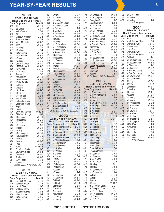|      | 2000<br>27-25 · 11-9 NYCAC    |                     | 3/2<br>3/2         |
|------|-------------------------------|---------------------|--------------------|
|      | <b>Head Coach: Joe Hennie</b> |                     | 3/2                |
|      | <b>Date Opponent</b>          | <b>Result</b>       | 3/2                |
| 3/12 | Tiffin                        | W, 5-0              | 3/2i               |
| 3/12 | St. Cloud                     | $L, 1-7$            | 4/3                |
| 3/13 | Neb.-Omaha                    | $L, 0-9$            | 4/4                |
| 3/13 | AIC                           | L, 0-8              | 4/6                |
| 3/15 | Missouri Western              | $L, 0-4$            | 4/6                |
| 3/15 | Southern Illinois             | $L, 0-4$            | 4/7                |
| 3/16 | Minn. Mankato                 | W, 4-2              | 4/7                |
| 3/16 | Tiffin                        | W, 8-2              | 4/9                |
| 3/19 | •Dowling                      | $L, 0-1$            | 4/9                |
| 3/19 | •Dowling                      | $L, 0-4$            | 4/1                |
| 3/21 | •New Haven                    | W, 3-0              | 4/1                |
| 3/21 | •New Haven                    | W, 3-1              | 4/1                |
| 3/25 | ·Queens                       | W, 3-0              | 4/1                |
| 3/25 | •Queens                       | $L, 2-5$            | 4/10               |
| 3/26 | <b>UMASS-Lowell</b>           | W, 1-0              | 4/10               |
| 3/26 | <b>UMASS-Lowell</b>           | W, 4-2              | 4/15               |
| 3/29 | •C.W. Post                    | L, 2-10             | 4/15               |
| 3/29 | •C.W. Post                    | $L, 2-9$            | 4/1                |
| 4/1  | Assumption                    | $L, 0-5$            | 4/1                |
| 4/1  | Assumption                    | W, 5-1              | 4/2                |
| 4/2  | ·Phila. Textile               | W, 3-0              | 4/2                |
| 4/2  | ·Phila. Textile               | W, 4-1              | 4/2                |
| 4/5  | •Adelphi                      | W, 3-2              | 4/2                |
| 4/5  | •Adelphi                      | $L, 1-2$            | 4/2                |
| 4/7  | •St. Rose                     | W, 9-7              | 4/2                |
| 4/7  | •St. Rose                     | W, 3-0              | 4/2                |
| 4/14 | Mesa State                    | $L, 3-5$            | 4/2i               |
| 4/14 | Mesa State                    | $L, 4-11$           | 4/2                |
| 4/17 | Colorado-Mines                | $L, 4-6$            | 4/2!               |
| 4/17 | Colorado-Mines                | W, 2-0              | 5/1                |
| 4/18 | Regis                         | $L, 6-7$            | 5/1                |
| 4/18 |                               |                     | 5/4                |
| 4/20 | Regis                         | $L, 6-9$<br>W, 10-5 | $\bullet$          |
| 4/20 | CU-Colo. Springs              | $L, 1-8$            |                    |
| 4/25 | CU-Colo. Springs              | W, 8-0              |                    |
| 4/25 | •Bridgeport<br>·Bridgeport    | W, 9-0              |                    |
| 4/26 | •Concordia                    | W, 5-3              |                    |
| 4/26 | •Concordia                    |                     | Da                 |
| 4/28 | •Molloy                       | L, 1-5<br>W, 3-1    | 3/1                |
| 4/28 | •Molloy                       | $L, 1-2$            | 3/1                |
| 4/29 |                               | W, 6-1              | 3/1.               |
| 4/29 | •Southampton                  | W, 9-0              | 3/1.               |
| 4/30 | •Southampton<br>•Mercy        | $L, 0-1$            | 3/13               |
| 4/30 | •Mercy                        | W, 9-0              | 3/13               |
| 5/2  | Pace                          | $L, 2-5$            | 3/1                |
| 5/2  | Pace                          | W, 11-15            | 3/1                |
| 5/3  | So. Conn. State               | $L, 1-2$            | 3/2                |
| 5/3  | So. Conn. State               | W, 5-4              | 3/2                |
| 5/5  | Queens!                       | W, 1-0              | 3/2                |
| 5/6  | Adelphi!                      | W, 2-0              | 3/2                |
| 5/6  | C.W. Post!                    | $L, 0-8$            | 3/2                |
| 5/7  | Adelphi!                      | $L.0-8$             | 3/25               |
|      | · NYCAC game; !NYCAC playoffs |                     | 3/3                |
|      |                               |                     | 3/3                |
|      | 2001                          |                     | 4/1                |
|      | 22-22 -11-9 NYCAC             |                     | 4/1                |
|      | <b>Head Coach: Joe Hennie</b> |                     | 4/2                |
|      | Date Opponent                 | <b>Result</b>       | 4/2                |
| 3/9  | Fla. Inst. of Tech.           | $L, 0-2$            | 4/4                |
| 3/10 | Valdosta State                | L, 4-6              | 4/4                |
| 3/10 | Lenoir State                  | L, 1-2              | 4/5                |
| 3/10 | Valdosta State                | $L, 1-7$            | 4/5                |
| 3/11 | at Lenoir-Rhyne               | $L, 1-4$            | 4/6                |
| 3/20 | •New Haven                    | $L, 1-4$            | 4/6<br><b>A</b> 10 |
|      |                               |                     |                    |

 $3/24$  Bryant

3/20 •New Haven<br>3/20 •New Haven L, 1-6 3/20 •New Haven L, 1-6<br>3/24 Bryant W, 9-1

| 3/24<br>3/25<br>3/25<br>3/28<br>3/28<br>4/3  | <b>Bryant</b><br>•at Molloy<br>•at Molloy<br>at Georgian Court<br>at Georgian Court<br>at Caldwell | $L, 2-7$<br>W, 4-3<br>L, 3-6<br>$L, 0-5$<br>L, 0-3<br>$L, 1-9$ |
|----------------------------------------------|----------------------------------------------------------------------------------------------------|----------------------------------------------------------------|
| 4/4<br>4/6<br>4/6<br>4/7<br>4/7              | at Caldwell<br>at Dominican<br>at Dominican<br>•Dowling<br>•Dowling                                | $L, 2-3$<br>W, 6-0<br>W, 4-3<br>$L, 1-2$<br>W, 4-0             |
| 4/9<br>4/9<br>4/11<br>4/11<br>4/14           | •at Philadelphia<br>•at Philadelphia<br>at Assumption<br>at Assumption<br>•Bridgeport              | W, 3-1<br>W, 8-1<br>W, 5-2<br>W, 3-1<br>$L, 3-4$               |
| 4/14<br>4/16<br>4/16<br>4/18<br>4/18         | •Bridgeport<br>•at Queens<br>•at Queens<br>•Mercy<br>•Mercy                                        | W, 4-3<br>L, 2-8<br>$L, 3-5$<br>W, 9-1<br>W, 16-8              |
| 4/19<br>4/19<br>4/21<br>4/21<br>4/24<br>4/24 | ·Southampton<br>·Southampton<br>•at Concordia<br>•at Concordia<br>•Adelphi                         | $W, 3-1$<br>W, 5-4<br>W, 7-4<br>W, 3-1<br>W, 4-3<br>$L, 1-11$  |
| 4/26<br>4/26<br>4/28<br>4/28<br>4/29         | •Adelphi<br>•C.W. Post<br>•C.W. Post<br>•St. Thomas<br>·St. Thomas<br><b>UMASS-Lowell</b>          | W, 6-5<br>$L, 0-3$<br>W, 7-5<br>W, 5-4<br>W, 4-3               |
| 4/29<br>5/1                                  | <b>UMASS-Lowell</b><br>at E. Stroudsburg                                                           | W, 1-10<br>$L, 0-3$                                            |
| 5/1<br>5/4                                   | at E. Stroudsburg<br>at Adelphi!                                                                   | $L, 2-4$<br>$L, 1-4$                                           |
|                                              | • NYCAC game; ! NYCAC playoffs<br>2002                                                             |                                                                |
|                                              | 22-27-2 · 15-8-1 NYCAC<br><b>Head Coach: Joe Hennie</b>                                            |                                                                |
| 3/11                                         | Date Opponent<br>at San Francisco St.                                                              | <b>Result</b><br>$L0-4$                                        |
| 3/11                                         | at San Francisco St.                                                                               | $L, 1-9$                                                       |
| $\frac{3/12}{3/2}$<br>3/12                   | at Sonoma St.<br>at Sonoma St.                                                                     | $L, 0-16$<br>W, 4-2                                            |
| 3/13                                         | at CSU San Bernadino L, 2-10                                                                       |                                                                |
| 3/13<br>3/19                                 | at CSU San Bernadino L, 1-6<br><b>•at New Haven</b>                                                | L, 4-5                                                         |
| 3/19                                         | •at New Haven                                                                                      | T, 6-6                                                         |
| 3/21                                         | •at Adelphi                                                                                        | $L, 2-5$                                                       |
| 3/21<br>3/24                                 | •at Adelphi<br>at Lincoln                                                                          | L, 0-4<br>$L, 0-4$                                             |
| 3/24                                         | at Lincoln                                                                                         | $L, 0-8$                                                       |
| 3/28<br>3/28                                 | •Molloy<br>•Molloy                                                                                 | W, 6-5<br>W. 4-1                                               |
| 3/30                                         | •Philadelphia                                                                                      | W, 3-0                                                         |
| 3/30<br>4/1                                  | •Philadelphia<br>•Queens                                                                           | W, 3-1<br>$L, 6-14$                                            |
| 4/1                                          | •Queens                                                                                            | $L, 2-5$                                                       |
| 4/2                                          | •at Dowling                                                                                        | W, 6-0                                                         |
| 4/2<br>4/4                                   | •at Dowling<br>Caldwell                                                                            | W, 5-1<br>W, 7-2                                               |
| 4/4                                          | Caldwell                                                                                           | W, 5-3                                                         |
| 4/5                                          | Dominican<br>Dominican                                                                             | $L, 3-6$                                                       |
| 4/5<br>4/6                                   | Assumption                                                                                         | $T, 3-3$<br>$L, 0-8$                                           |
| 4/6<br>4/8                                   | Assumption<br>•at Mercy                                                                            | $L, 0-3$<br>W, 11-0                                            |

| 4/10<br>4/10<br>4/11<br>4/11<br>4/12<br>4/12<br>4/17<br>4/17<br>4/19<br>4/19<br>4/21<br>4/21<br>4/23<br>4/23<br>4/26<br>4/26<br>4/27<br>4/27<br>$\frac{4}{30}$<br>5/3<br>5/4<br>5/4 | •at Bridgeport<br>•at Bridgeport<br>Georgian Court<br>Georgian Court<br>at Le Moyne<br>at Le Moyne<br>•at St. Thomas<br>•at St. Thomas<br>at UMASS-Lowell<br>at UMASS-Lowell<br>at Franklin Pierce<br>at Franklin Pierce<br>•Concordia<br>•Concordia<br>•atC.W. Post<br>•at C.W. Post<br>•at Southampton<br>•at Southampton<br><b>East Stroudsburg</b><br><b>East Stroudsburg</b><br>Queens!<br>Dowling !<br>Adelphi!<br>· NYCAC game; ! NYCAC playoffs | W, 3-0<br>W, 8-1<br>L, 1-7<br>$L, 1-8$<br>$L, 1-6$<br>$L, 2-9$<br>$L, 2-3$<br>W, 4-3<br>L, 1-9<br>$L, 0-7$<br>W, 1-0<br>W, 1-0<br>W, 7-2<br>W, 1-0<br>L, 1-2<br>$L, 0-6$<br>W, 4-0<br>W, 3-2<br>W, 2-0<br>$L, 7-9$<br>W, 4-3<br>$L, 1-5$<br>$L.3-4$ |
|-------------------------------------------------------------------------------------------------------------------------------------------------------------------------------------|---------------------------------------------------------------------------------------------------------------------------------------------------------------------------------------------------------------------------------------------------------------------------------------------------------------------------------------------------------------------------------------------------------------------------------------------------------|-----------------------------------------------------------------------------------------------------------------------------------------------------------------------------------------------------------------------------------------------------|
|                                                                                                                                                                                     | 2003                                                                                                                                                                                                                                                                                                                                                                                                                                                    |                                                                                                                                                                                                                                                     |
|                                                                                                                                                                                     | 6-38 - 3-21 NYCAC<br><b>Head Coach: Joe Hennie</b>                                                                                                                                                                                                                                                                                                                                                                                                      |                                                                                                                                                                                                                                                     |
| Date                                                                                                                                                                                | <b>Opponent</b>                                                                                                                                                                                                                                                                                                                                                                                                                                         | <b>Result</b>                                                                                                                                                                                                                                       |
| 3/14                                                                                                                                                                                | S. New Hampshire                                                                                                                                                                                                                                                                                                                                                                                                                                        | $L, 0-8$                                                                                                                                                                                                                                            |
| 3/14                                                                                                                                                                                | S. New Hampshire                                                                                                                                                                                                                                                                                                                                                                                                                                        | $L, 1-8$                                                                                                                                                                                                                                            |
| 3/15                                                                                                                                                                                | at Bryant                                                                                                                                                                                                                                                                                                                                                                                                                                               | $L, 1-9$                                                                                                                                                                                                                                            |
| 3/15                                                                                                                                                                                | at Bryant                                                                                                                                                                                                                                                                                                                                                                                                                                               | $L, 2-7$                                                                                                                                                                                                                                            |
| 3/17                                                                                                                                                                                | at W. Virginia Tech                                                                                                                                                                                                                                                                                                                                                                                                                                     | $L, 1-2$                                                                                                                                                                                                                                            |
| 3/17                                                                                                                                                                                | at W .Virginia Tech                                                                                                                                                                                                                                                                                                                                                                                                                                     | W, 5-3                                                                                                                                                                                                                                              |
| 3/19                                                                                                                                                                                | at Northland                                                                                                                                                                                                                                                                                                                                                                                                                                            | $L, 5-7$                                                                                                                                                                                                                                            |
| 3/19                                                                                                                                                                                | at Northland                                                                                                                                                                                                                                                                                                                                                                                                                                            | $L, 0-1$                                                                                                                                                                                                                                            |
| 3/20                                                                                                                                                                                | at Franklin                                                                                                                                                                                                                                                                                                                                                                                                                                             | W, 5-4                                                                                                                                                                                                                                              |
| 3/20                                                                                                                                                                                | at Franklin                                                                                                                                                                                                                                                                                                                                                                                                                                             | $L, 0-3$                                                                                                                                                                                                                                            |
| 3/23                                                                                                                                                                                | Le Moyne                                                                                                                                                                                                                                                                                                                                                                                                                                                | $L, 0-11$                                                                                                                                                                                                                                           |
| 3/23                                                                                                                                                                                | Le Moyne                                                                                                                                                                                                                                                                                                                                                                                                                                                | $L, 0-12$                                                                                                                                                                                                                                           |
| 3/25                                                                                                                                                                                | ·St. Thomas                                                                                                                                                                                                                                                                                                                                                                                                                                             | $L, 0-2$                                                                                                                                                                                                                                            |
| 3/26                                                                                                                                                                                | <b>Bloomfield</b>                                                                                                                                                                                                                                                                                                                                                                                                                                       | W, 7-0                                                                                                                                                                                                                                              |
| 3/26                                                                                                                                                                                | <b>Bloomfield</b>                                                                                                                                                                                                                                                                                                                                                                                                                                       | $L, 1-5$                                                                                                                                                                                                                                            |
| 3/29                                                                                                                                                                                | .New Haven                                                                                                                                                                                                                                                                                                                                                                                                                                              | $L, 0-3$                                                                                                                                                                                                                                            |
| 3/29                                                                                                                                                                                | .New Haven                                                                                                                                                                                                                                                                                                                                                                                                                                              | $L, 0-8$                                                                                                                                                                                                                                            |
| 4/2                                                                                                                                                                                 | ·Southampton                                                                                                                                                                                                                                                                                                                                                                                                                                            | $L, 0-9$                                                                                                                                                                                                                                            |
| 4/2                                                                                                                                                                                 | ·Southampton                                                                                                                                                                                                                                                                                                                                                                                                                                            | $L, 1-4$                                                                                                                                                                                                                                            |
| 4/3                                                                                                                                                                                 | ·Bridgeport                                                                                                                                                                                                                                                                                                                                                                                                                                             | $L, 2-9$                                                                                                                                                                                                                                            |
| 4/3                                                                                                                                                                                 | ·Bridgeport                                                                                                                                                                                                                                                                                                                                                                                                                                             | $L, 1-9$                                                                                                                                                                                                                                            |
| 4/6                                                                                                                                                                                 | <b>Franklin Pierce</b>                                                                                                                                                                                                                                                                                                                                                                                                                                  | $L, 0-3$                                                                                                                                                                                                                                            |
| 4/6                                                                                                                                                                                 | <b>Franklin Pierce</b>                                                                                                                                                                                                                                                                                                                                                                                                                                  | $L, 0-1$                                                                                                                                                                                                                                            |
| 4/12                                                                                                                                                                                | •at Queens                                                                                                                                                                                                                                                                                                                                                                                                                                              | L, 7-8                                                                                                                                                                                                                                              |
| 4/12                                                                                                                                                                                | •at Queens                                                                                                                                                                                                                                                                                                                                                                                                                                              | $L, 2-4$                                                                                                                                                                                                                                            |
| 4/14                                                                                                                                                                                | at Dominican                                                                                                                                                                                                                                                                                                                                                                                                                                            | L, 1-9                                                                                                                                                                                                                                              |
| 4/14                                                                                                                                                                                | at Dominican                                                                                                                                                                                                                                                                                                                                                                                                                                            | L, 0-9                                                                                                                                                                                                                                              |
| 4/15                                                                                                                                                                                | •Dowling                                                                                                                                                                                                                                                                                                                                                                                                                                                | $L, 0-11$                                                                                                                                                                                                                                           |
| 4/15                                                                                                                                                                                | •Dowling                                                                                                                                                                                                                                                                                                                                                                                                                                                | $L, 1-8$                                                                                                                                                                                                                                            |
| 4/17                                                                                                                                                                                | •at Concordia                                                                                                                                                                                                                                                                                                                                                                                                                                           | $L, 1-8$                                                                                                                                                                                                                                            |
| 4/17                                                                                                                                                                                | •at Concordia                                                                                                                                                                                                                                                                                                                                                                                                                                           | $L, 1-3$                                                                                                                                                                                                                                            |
| 4/18                                                                                                                                                                                | •Adelphi                                                                                                                                                                                                                                                                                                                                                                                                                                                | $L$ , 0-6                                                                                                                                                                                                                                           |
| 4/18                                                                                                                                                                                | •Adelphi                                                                                                                                                                                                                                                                                                                                                                                                                                                | $L, 0-3$                                                                                                                                                                                                                                            |
| 4/19                                                                                                                                                                                | •Mercy                                                                                                                                                                                                                                                                                                                                                                                                                                                  | W, 8-0                                                                                                                                                                                                                                              |
| 4/19                                                                                                                                                                                | •Mercy                                                                                                                                                                                                                                                                                                                                                                                                                                                  | W, 11-2                                                                                                                                                                                                                                             |
| 4/21                                                                                                                                                                                | at Georgian Court                                                                                                                                                                                                                                                                                                                                                                                                                                       | $L, 0-7$                                                                                                                                                                                                                                            |
| 4/21                                                                                                                                                                                | at Georgian Court                                                                                                                                                                                                                                                                                                                                                                                                                                       | $L, 3-11$                                                                                                                                                                                                                                           |
| 4/24                                                                                                                                                                                | •at Philadelphia                                                                                                                                                                                                                                                                                                                                                                                                                                        | $L, 0-1$                                                                                                                                                                                                                                            |
| 4/24                                                                                                                                                                                | •at Philadelphia                                                                                                                                                                                                                                                                                                                                                                                                                                        | W, 2-0                                                                                                                                                                                                                                              |
| 4/27                                                                                                                                                                                | •St. Thomas                                                                                                                                                                                                                                                                                                                                                                                                                                             | $L, 4-6$                                                                                                                                                                                                                                            |
| 4/29                                                                                                                                                                                | •at C.W. Post                                                                                                                                                                                                                                                                                                                                                                                                                                           |                                                                                                                                                                                                                                                     |

| 4/29<br>4/30<br>4/30                                                                                      | •at C.W. Post<br>•at Molloy<br>•at Molloy<br>· NYCAC game                                                                                                                                                                   | L, 1-11<br>$L, 0-7$<br>$L, 1-5$                                                                                                                          |
|-----------------------------------------------------------------------------------------------------------|-----------------------------------------------------------------------------------------------------------------------------------------------------------------------------------------------------------------------------|----------------------------------------------------------------------------------------------------------------------------------------------------------|
| Date<br>3/14<br>3/14<br>3/15<br>3/15<br>3/18<br>3/18<br>3/19                                              | 2004<br>12-26 · 10-14 NYCAC<br><b>Head Coach: Joe Hennie</b><br>Opponent<br>Pace<br>North Dakota State<br><b>UMASS-Lowell</b><br>Wayne State<br>U.M.-Duluth<br><b>UMASS-Lowell</b><br>North Dakota State                    | Result<br>$L, 1-6$<br>$L, 0-8$<br>L, 2-15<br>$L, 0-10$<br>$L, 0-7$<br>$L, 0-6$<br>L, 0-8                                                                 |
| 3/19<br>3/23<br>3/23<br>3/25<br>3/25<br>3/26<br>3/26<br>3/28<br>3/28<br>3/30<br>3/30<br>4/6<br>4/6<br>4/7 | Caldwell<br>•at Southampton<br>•at Southampton<br>at Bloomfield<br>at Bloomfield<br>at East Stroudsburg<br>at East Stroudsburg<br>•at New Haven<br>•at New Haven<br>•Molloy<br>•Molloy<br>Dominican<br>Dominican<br>•Queens | $L, 1-1$<br>W, 12-5<br>$W, 6-2$<br>$L, 1-2$<br>W, 3-2<br>$L, 0-3$<br>L, 0-4<br>W, 3-1<br>$L, 0-1$<br>W, 7-2<br>$L, 2-12$<br>W, 2-1<br>$L, 3-5$<br>W, 4-1 |
| 4/7<br>4/8<br>4/8<br>4/9<br>4/9<br>4/15<br>4/15<br>4/16<br>4/16<br>4/20<br>4/20                           | •Queens<br>•at Mercy<br>•at Mercy<br>•at Philadelphia<br>•at Philadelphia<br>•at Dowling<br>•at Dowling<br>•at Adelphi<br>•at Adelphi<br>•at Bridgeport<br>•at Bridgeport                                                   | $L$ , 2-6<br>W, 17-0<br>W, 6-4<br>$L, 0-2$<br>W, 2-0<br>$L, 0-3$<br>$L, 2-11$<br>$L, 0-7$<br>L, 0-7<br>$L, 3-4$<br>W, 1-0                                |
| 4/22<br>4/22<br>4/25<br>4/25<br>4/30<br>4/30                                                              | •C.W. Post<br>•C.W. Post<br>•Concordia<br>•Concordia<br>·St. Thomas<br>•St. Thomas<br>· NYCAC game                                                                                                                          | L, 1-6<br>L, 1-8<br>$L, 2-3$<br>$L, 6-8$<br>$L, 4-6$<br>W, 3-2                                                                                           |

#### **2015 SOFTBALL • NYITBEARS.COM**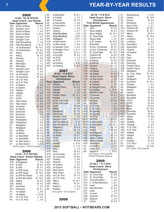|              |                                    |                      | 4/5          | at Blc                 |
|--------------|------------------------------------|----------------------|--------------|------------------------|
|              | 2005<br>12-26 · 10-14 NYCAC        |                      | 4/8          | at Fra                 |
|              | <b>Head Coach: Joe Hennie</b>      |                      | 4/8          | at Fra                 |
| Date         | <b>Opponent</b>                    | <b>Result</b>        | 4/9          | at As:                 |
| 3/22         | School of Mines                    | $L, 0-5$             | 4/9          | at As:                 |
| 3/22         | Georgian Court                     | $L, 1-3$             | 4/11         | •Quee                  |
| 3/24         | School of Mines                    | $L, 3-4$             | 4/11<br>4/13 | •Quee<br>at East       |
| 3/24         | School of Mines                    | $L, 2-10$            | 4/13         | at Eas                 |
| 3/25<br>3/25 | Georgian Court<br>Georgian Court   | $L, 5-7$<br>$L, 1-8$ | 4/14         | <b>eat Bric</b>        |
| 3/30         | East Stroudsburg                   | L, 1-6               | 4/18         | •at N∈                 |
| 3/30         | East Stroudsburg                   | $L, 5-12$            | 4/18         | •at Ne                 |
| 3/31         | •at Southampton                    | W, 10-1              | 4/20         | at Ge                  |
| 3/31         | •at Southampton                    | W, 6-2               | 4/20         | at Ge                  |
| 4/5          | •Mercy                             | W, 15-0              | 4/25         | •Cond                  |
| 4/5          | •Mercy                             | W, 2-0               | 4/25         | •Cond                  |
| 4/6          | •Dowling                           | L, 0-6               | 4/29<br>4/29 | $\cdot$ at S<br>•at ST |
| 4/6          | •Dowling                           | $L, 3-7$             | 4/27         | •at Do                 |
| 4/9<br>4/9   | Wilmington                         | $L, 1-2$             | 4/27         | •at Do                 |
| 4/11         | Wilmington<br>Georgian Court       | W, 5-4<br>W, 8-4     |              |                        |
| 4/11         | Georgian Court                     | L, 0-5               |              |                        |
| 4/12         | •at Concordia                      | W, 2-0               |              | $20 -$                 |
| 4/12         | •at Concordia                      | W, 8-0               |              | Head                   |
| 4/14         | •at C.W. Post                      | $L, 0-5$             |              | C                      |
| 4/14         | •at C.W. Post                      | $L, 1-3$             | <b>Date</b>  | Opp                    |
| 4/15         | at Queens                          | $L, 0-5$             | 3/17         | Hillsd                 |
| 4/15         | at Queens                          | W, 5-1               | 3/19         | Frank                  |
| 4/16         | •Adelphi                           | $L, 1-2$             | 3/20         | Hillsd                 |
| 4/16         | •Adelphi                           | $L, 0-6$             | 3/20<br>3/21 | Hillsd<br>Frank        |
| 4/17         | $\cdot$ STAC                       | $W, 4-1$             | 3/21         | Hillsd                 |
| 4/17<br>4/21 | ·STAC<br>•New Haven                | W, 9-8<br>$W, 2-0$   | 3/22         | at Fla                 |
| 4/21         | •New Haven                         | $L, 0-5$             | 3/22         | at Fla                 |
| 4/24         | at Felician                        | W, 9-8               | 3/23         | Unior                  |
| 4/22         | at Felician                        | $L, 4-5$             | 3/23         | <b>Bethe</b>           |
| 4/24         | Dominican                          | $L, 2-3$             | 3/31         | Assur                  |
| 4/24         | Dominican                          | $L, 2-3$             | 3/31         | <b>Assur</b>           |
| 4/24         | Dominican                          | $L, 2-4$             | 4/3          | Georg                  |
| 4/29         | Philadelphia                       | $L, 1-2$             | 4/3<br>4/5   | Georg                  |
| 4/29         | Philadelphia                       | $L, 2-6$             | 4/5          | East<br>East           |
| 5/1<br>5/1   | •Bridgeport                        | $L, 2-4$             | 4/7          | ·Bridg                 |
| 5/2          | •Bridgeport<br>•at Molloy          | $L, 2-4$<br>W, 3-0   | 4/7          | ·Bridg                 |
| 5/2          | •at Molloy                         | W, 7-5               | 4/9          | •at M                  |
| 5/4          | vs. Bloomfield                     | W, 1-0               | 4/9          | •at M                  |
| 5/4          | vs. Bloomfield                     | W, 3-0               | 4/10         | ·STA                   |
| 5/6          | vs. New Haven!                     | $L, 1-3$             | 4/10         | ·STA                   |
| 5/7          | vs. New Haven!                     | $L, 0-3$             | 4/13         | •Adel                  |
|              | •NYCAC game; ! NYCAC playoffs      |                      | 4/14         | ·Adel                  |
|              | 2006                               |                      | 4/18<br>4/18 | Pace<br>Pace           |
|              | 13-22 · 5-13 NYCAC                 |                      | 4/19         | •at Co                 |
|              | <b>Head Coach: Kristin Bakalar</b> |                      | 4/19         | •at Co                 |
|              | Date Opponent                      | <b>Result</b>        | 4/21         | •Dow                   |
| 3/16         | at Bridgeport                      | $L, 4-5$             | 4/21         | •Dow                   |
| 3/19         | at UPR                             | W, 6-0               | 4/23         | •at Qu                 |
| 3/19         | at UPR                             | W, 3-1               | 4/23         | •at Qı                 |
| 3/20         | at UPR Cayey                       | W, 11-3              | 4/24         | •New                   |
| 3/20         | at UPR Cayey                       | W, 13-2              | 4/24         | •New                   |
| 3/23         | at UPR Rio Piedra                  | $L, 5-8$             | 4/25         | •at C.                 |
| 3/28<br>3/28 | at UPR Rio Piedra                  | W, 16-5              | 4/25<br>4/28 | •at C.<br>•Merc        |
| 3/28         | •Molloy<br>•Molloy                 | W, 4-2<br>W, 4-3     | 4/28         | •Merc                  |
| 3/31         | Dominican                          | $L, 3-5$             | 5/4          | Quee                   |
| 3/31         | Dominican                          | W, 4-1               | 5/5          | Dowli                  |
| 4/1          | •at Adelphi                        | L, 5-8               |              | ECC                    |
| 4/1          | •at Adelphi                        | L, 0-18              |              |                        |
| 4/4          | •vs C.W. Post                      | $L, 2-4$             |              |                        |
| 4/4          | •vs C.W. Post                      | $L, 3-8$             |              |                        |

| 4/5<br>4/8<br>4/8<br>4/9<br>4/9<br>4/11<br>4/11<br>4/13<br>4/13<br>4/14<br>4/18<br>4/18<br>4/20<br>4/20<br>4/25<br>4/25<br>4/29<br>4/29<br>4/27<br>4/27 | at Bloomfield<br>at Franklin<br>at Franklin<br>at Assumption<br>at Assumption<br>•Queens<br>•Queens<br>at East Stroudsburg<br>at East Stroudsburg<br>•at Bridgeport<br>•at New Haven<br>•at New Haven<br>at Georgian Court<br>at Georgian Court<br>•Concordia<br>•Concordia<br>•at STAC<br>•at STAC<br>•at Dowling<br>•at Dowling | W, 8-1<br>L, 1-3<br>W, 7-0<br>L, 0-8<br>L, 0-4<br>$L, 3-8$<br>L, 3-7<br>L, 24<br>L, 6-12<br>L, 5-11<br>$L, 0-7$<br>L, 0-2<br>$L, 0-2$<br>$L, 4-11$<br>W, 2-1<br>W, 3-2<br>L, 1-2<br>$L, 0-7$<br>$L, 4-13$<br>$W, 3-1$ |
|---------------------------------------------------------------------------------------------------------------------------------------------------------|-----------------------------------------------------------------------------------------------------------------------------------------------------------------------------------------------------------------------------------------------------------------------------------------------------------------------------------|-----------------------------------------------------------------------------------------------------------------------------------------------------------------------------------------------------------------------|
|                                                                                                                                                         | 2007<br>20-20 · 11-9 ECC                                                                                                                                                                                                                                                                                                          |                                                                                                                                                                                                                       |
|                                                                                                                                                         | <b>Head Coach: Steve</b><br><b>Christianson</b>                                                                                                                                                                                                                                                                                   |                                                                                                                                                                                                                       |
| Date                                                                                                                                                    | <b>Opponent</b>                                                                                                                                                                                                                                                                                                                   | <b>Result</b>                                                                                                                                                                                                         |
| 3/17<br>3/19                                                                                                                                            | Hillsdale<br><b>Franklin Pierce</b>                                                                                                                                                                                                                                                                                               | W, 13-5<br>W, 4-2                                                                                                                                                                                                     |
| 3/20                                                                                                                                                    | <b>Hillsdale</b>                                                                                                                                                                                                                                                                                                                  | $L, 3-8$                                                                                                                                                                                                              |
| 3/20                                                                                                                                                    | <b>Hillsdale</b>                                                                                                                                                                                                                                                                                                                  | $L, 2-6$                                                                                                                                                                                                              |
| 3/21<br>3/21                                                                                                                                            | <b>Franklin Pierce</b><br><b>Hillsdale</b>                                                                                                                                                                                                                                                                                        | W, 11-3<br>L, 2-4                                                                                                                                                                                                     |
| 3/22                                                                                                                                                    | at Fla. Gulf Coast                                                                                                                                                                                                                                                                                                                | $L, 1-9$                                                                                                                                                                                                              |
| 3/22                                                                                                                                                    | at Fla. Gulf Coast                                                                                                                                                                                                                                                                                                                | L, 1-6                                                                                                                                                                                                                |
| 3/23<br>3/23                                                                                                                                            | Union<br><b>Bethel</b>                                                                                                                                                                                                                                                                                                            | W, 9-8<br>W, 1-0                                                                                                                                                                                                      |
| 3/31                                                                                                                                                    | Assumption                                                                                                                                                                                                                                                                                                                        | W, 7-0<br>W, 2-0                                                                                                                                                                                                      |
| 3/31                                                                                                                                                    | <b>Assumption</b>                                                                                                                                                                                                                                                                                                                 | $L, 3-5$                                                                                                                                                                                                              |
| 4/3<br>4/3                                                                                                                                              | <b>Georgian Court</b><br>Georgian Court                                                                                                                                                                                                                                                                                           | W, 4-1                                                                                                                                                                                                                |
| 4/5                                                                                                                                                     | East Stroudsburg                                                                                                                                                                                                                                                                                                                  | $L, 5-13$                                                                                                                                                                                                             |
| 4/5                                                                                                                                                     | East Stroudsburg                                                                                                                                                                                                                                                                                                                  | $L, 5-15$                                                                                                                                                                                                             |
| 4/7<br>4/7                                                                                                                                              | ·Bridgeport<br>•Bridgeport                                                                                                                                                                                                                                                                                                        | W, 6-5<br>W, 7-0                                                                                                                                                                                                      |
| 4/9                                                                                                                                                     | •at Molloy                                                                                                                                                                                                                                                                                                                        | $L, 8-9$                                                                                                                                                                                                              |
| 4/9                                                                                                                                                     | •at Molloy                                                                                                                                                                                                                                                                                                                        | W, 8-7<br>$W, 4-1$                                                                                                                                                                                                    |
| 4/10<br>4/10                                                                                                                                            | ·STAC<br>·STAC                                                                                                                                                                                                                                                                                                                    | W, 5-0                                                                                                                                                                                                                |
| 4/13                                                                                                                                                    | •Adelphi                                                                                                                                                                                                                                                                                                                          | L, 0-14                                                                                                                                                                                                               |
| 4/14                                                                                                                                                    | •Adelphi                                                                                                                                                                                                                                                                                                                          | L, 1-13                                                                                                                                                                                                               |
| 4/18<br>4/18                                                                                                                                            | Pace<br>Pace                                                                                                                                                                                                                                                                                                                      | $L, 1-2$<br>W, 9-2                                                                                                                                                                                                    |
| 4/19                                                                                                                                                    | •at Concordia                                                                                                                                                                                                                                                                                                                     | W, 4-1                                                                                                                                                                                                                |
| 4/19                                                                                                                                                    | •at Concordia                                                                                                                                                                                                                                                                                                                     | W, 8-0                                                                                                                                                                                                                |
| 4/21<br>4/21                                                                                                                                            | •Dowling<br>•Dowling                                                                                                                                                                                                                                                                                                              | L, 0-8<br>$L, 0-2$                                                                                                                                                                                                    |
| 4/23                                                                                                                                                    | •at Queens                                                                                                                                                                                                                                                                                                                        | $L, 4-5$                                                                                                                                                                                                              |
| 4/23                                                                                                                                                    | •at Queens                                                                                                                                                                                                                                                                                                                        | W, 6-2                                                                                                                                                                                                                |
| 4/24<br>4/24                                                                                                                                            | •New Haven<br>•New Haven                                                                                                                                                                                                                                                                                                          | L, 4-7<br>$L, 2-4$                                                                                                                                                                                                    |
| 4/25                                                                                                                                                    | •at C.W. Post                                                                                                                                                                                                                                                                                                                     | W, 7-3                                                                                                                                                                                                                |
| 4/25                                                                                                                                                    | •at C.W. Post                                                                                                                                                                                                                                                                                                                     | $L, 1-9$                                                                                                                                                                                                              |
| 4/28<br>4/28                                                                                                                                            | •Mercy<br>•Mercy                                                                                                                                                                                                                                                                                                                  | W, 14-1<br>W, 9-1                                                                                                                                                                                                     |
| 5/4                                                                                                                                                     | Queens!                                                                                                                                                                                                                                                                                                                           | L, 3-4                                                                                                                                                                                                                |
| 5/5                                                                                                                                                     | Dowling !                                                                                                                                                                                                                                                                                                                         | $L, 2-7$                                                                                                                                                                                                              |
|                                                                                                                                                         | · ECC game; ! ECC playoffs                                                                                                                                                                                                                                                                                                        |                                                                                                                                                                                                                       |
|                                                                                                                                                         | 2008                                                                                                                                                                                                                                                                                                                              |                                                                                                                                                                                                                       |

| 3/1<br>3/1<br>3/2<br>3/2<br>3/3<br>3/3<br>3/4<br>3/4<br>3/5<br>3/5<br>3/7<br>3/7<br>3/12<br>3/12<br>3/25<br>3/25<br>3/29<br>3/29<br>3/30<br>3/30<br>4/3<br>4/3<br>4/5<br>4/5<br>4/5<br>4/8<br>4/8<br>4/9<br>4/9<br>4/12<br>4/12<br>4/13<br>4/13<br>4/15<br>4/15<br>4/19<br>4/19<br>4/22<br>4/22<br>4/25<br>4/25 | 29-18 • 11-9 ECC<br><b>Head Coach: Steve</b><br><b>Christianson</b><br><b>First NCAA Appearance</b><br>Date Opponent<br>Alma<br>Siena Heights<br>Siena Heights<br>St. Cloud State<br>Wayne State<br>at St. Anselm<br>Bloomfield<br>at Univ. of Sciences<br>at Univ. of Sciences<br>St. Cloud State<br><b>Chestnut Hill</b><br><b>Chestnut Hill</b><br>at Felician<br>at Felician<br>•Queens<br>•Queens<br>•at Adelphi<br>•at Adelphi<br>•at New Haven<br>•at New Haven<br>at Caldwell<br>at Caldwell<br>at Georgian Court<br>•at Dowling<br><b>UMASS-Lowell</b><br>•Concordia<br>•Concordia<br>•at Pace<br>•at Pace<br>•C.W. Post<br>•C.W. Post<br>•at Dowling<br>•at Dowling<br>•at STAC<br>•at STAC<br>at Assumption<br>at Assumption<br>•Molloy<br>•Molloy<br>•at Bridgeport<br>•at Bridgeport | <b>Result</b><br>W, 5-4<br>W, 5-3<br>W, 10-1<br>$L, 2-7$<br>$L, 0-1$<br>W, 10-3<br>W, 9-3<br>W, 6-1<br>W, 6-2<br>W, 10-2<br>W, 8-0<br>W, 10-1<br>W, 5-2<br>W, 2-0<br>W, 1-0<br>$L, 1-5$<br>$L, 1-3$<br>W, 4-3<br>W, 5-3<br>$L, 2-5$<br>W, 3-1<br>$L, 7-9$<br>W, 7-4<br>L, 12-13<br>W, 6-4<br>$W, 4-1$<br>$L, 4-7$<br>W, 5-0<br>$L, 1-4$<br>$L, 0-1$<br>$L, 0-8$<br>$L, 6-7$<br>W, 3-1<br>$L, 1-5$<br>W, 3-2<br>$W, 5-1$<br>W, 10-1<br>$W, 1-0$<br>$W, 3-0$<br>$L, 0-2$<br>$W, 5-3$ | 3/1<br>3/2<br>3/2<br>3/3<br>3/3<br>3/13<br>3/13<br>3/17<br>3/17<br>3/21<br>3/21<br>3/22<br>3/22<br>3/24<br>3/24<br>3/25<br>3/25<br>3/27<br>3/27<br>3/28<br>3/28<br>3/31<br>4/1<br>4/2<br>4/4<br>4/4<br>4/5<br>4/5<br>4/8<br>4/8<br>4/13<br>4/13<br>4/14<br>4/14<br>4/15<br>4/15<br>4/16<br>4/16<br>4/21<br>4/21<br>4/23<br>4/23<br>4/25<br>4/25<br>4/27<br>4/27 | Shippensburg<br>Urbana<br>Gannon<br>Northwood<br>Mount Olive<br>Chestnut Hill<br>Chestnut Hill<br>•Mercy<br>•Mercy<br>Le Moyne<br>Le Moyne<br>Assumption<br>Assumption<br>•Queens<br>•at Queens<br>Pace<br>Pace<br>Dominican<br>Dominican<br><b>Franklin Pierce</b><br><b>Franklin Pierce</b><br>•Bridgeport<br>So. Conn. State<br>Caldwell<br>•Bridgeport<br>Dominican<br>•Dowling<br>•Bridgeport<br>Felician<br>Felician<br>Bloomfield<br><b>Bloomfield</b><br>•STAC<br><b>STAC</b><br><b>Nyack</b><br><b>Nyack</b><br>Concordia<br>Concordia<br>•Molloy<br>•Molloy<br>•Dowling<br>•Dowling<br>•C.W. Post<br>•C.W. Post<br>•Adelphi<br>•Adelphi | $L, 3-13$<br>W, 12-8<br>W, 3-2<br>$L, 3-7$<br>$L, 2-7$<br>W, 14-1<br>W, 15-1<br>W, 8-3<br>W, 13-4<br>W, 2-1<br>$L, 5-2$<br>W, 3-1<br>$L, 5-3$<br>W, 8-6<br>W, 7-5<br>W, 6-0<br>W, 4-0<br>$L, 8-7$<br>$L, 5-3$<br>W, 8-0<br>W, 8-0<br>W, 6-5<br>W, 10-0<br>W, 4-1<br>W, 3-0<br>W, 10-1<br>$L, 4-2$<br>$L, 6-4$<br>W, 4-0<br>W, 8-3<br>$L, 1-5$<br>W, 8-0<br>W, 6-2<br>W, 9-4<br>W, 5-0<br>W, 15-0<br>W, 6-4<br>W, 9-1<br>W, 9-6<br>$L, 3-7$<br>$L, 1-9$<br>$L, 4-5$<br>W, 5-1<br>$L, 4-7$<br>$L, 3-4$<br>$L, 2-11$ |
|-----------------------------------------------------------------------------------------------------------------------------------------------------------------------------------------------------------------------------------------------------------------------------------------------------------------|---------------------------------------------------------------------------------------------------------------------------------------------------------------------------------------------------------------------------------------------------------------------------------------------------------------------------------------------------------------------------------------------------------------------------------------------------------------------------------------------------------------------------------------------------------------------------------------------------------------------------------------------------------------------------------------------------------------------------------------------------------------------------------------------------|------------------------------------------------------------------------------------------------------------------------------------------------------------------------------------------------------------------------------------------------------------------------------------------------------------------------------------------------------------------------------------------------------------------------------------------------------------------------------------|-----------------------------------------------------------------------------------------------------------------------------------------------------------------------------------------------------------------------------------------------------------------------------------------------------------------------------------------------------------------|---------------------------------------------------------------------------------------------------------------------------------------------------------------------------------------------------------------------------------------------------------------------------------------------------------------------------------------------------------------------------------------------------------------------------------------------------------------------------------------------------------------------------------------------------------------------------------------------------------------------------------------------------|-------------------------------------------------------------------------------------------------------------------------------------------------------------------------------------------------------------------------------------------------------------------------------------------------------------------------------------------------------------------------------------------------------------------------------------------------------------------------------------------------------------------|
| 4/26<br>4/26<br>4/30<br>5/1<br>5/7<br>5/8                                                                                                                                                                                                                                                                       | •Mercy College<br>•Mercy College<br>•Bridgeport<br>at Adelphi!<br>LeMoyne#<br>Adelphi#                                                                                                                                                                                                                                                                                                                                                                                                                                                                                                                                                                                                                                                                                                            | $W, 2-1$<br>W, 9-0<br>$L, 0-1$<br>$L, 2-6$<br>$L, 2-3$<br>L, 10-13                                                                                                                                                                                                                                                                                                                                                                                                                 | 4/29<br>5/1<br>5/2<br>5/3                                                                                                                                                                                                                                                                                                                                       | •Molloy<br>Dowling !<br>C.W. Post!<br>Dowling !<br>· ECC game; ! ECC playoffs                                                                                                                                                                                                                                                                                                                                                                                                                                                                                                                                                                     | W, 5-0<br>W, 4-3<br>$L, 1-9$<br>W, 3-22                                                                                                                                                                                                                                                                                                                                                                                                                                                                           |
| 2/13<br>2/13<br>2/14<br>2/14<br>2/15<br>2/15<br>2/27<br>2/27<br>2/28<br>2/28<br>3/1                                                                                                                                                                                                                             | • ECC game; ! ECC playoffs;<br># NCAA Northeast Regional<br>2009<br>37-24-1 • 11-7 ECC<br><b>Head Coach: Steve</b><br><b>Christianson</b><br>Date Opponent<br>St. Cloud State<br>St. Cloud State<br>Concordia (Minn.)<br>U. of Mary-Bismarck<br>Lewis<br>Mary-Bismarck<br>Lewis<br>at Lewis<br>Kutztown<br>Edinboro<br>Clarion                                                                                                                                                                                                                                                                                                                                                                                                                                                                    | <b>Result</b><br>W, 8-6<br>W, 4-2<br>$L, 3-4$<br>$L, 6-7$<br>$L, 0-8$<br>W, 3-2<br>$L, 2-4$<br>$L, 1-2$<br>W, 5-2<br>$L, 0-4$<br>W, 9-0                                                                                                                                                                                                                                                                                                                                            |                                                                                                                                                                                                                                                                                                                                                                 |                                                                                                                                                                                                                                                                                                                                                                                                                                                                                                                                                                                                                                                   |                                                                                                                                                                                                                                                                                                                                                                                                                                                                                                                   |

#### **2015 SOFTBALL • NYITBEARS.COM**